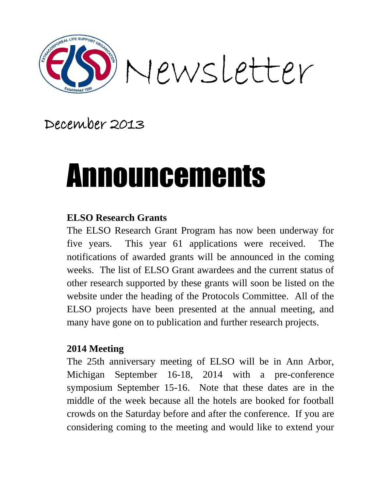

## December 2013

# Announcements

#### **ELSO Research Grants**

The ELSO Research Grant Program has now been underway for five years. This year 61 applications were received. The notifications of awarded grants will be announced in the coming weeks. The list of ELSO Grant awardees and the current status of other research supported by these grants will soon be listed on the website under the heading of the Protocols Committee. All of the ELSO projects have been presented at the annual meeting, and many have gone on to publication and further research projects.

#### **2014 Meeting**

The 25th anniversary meeting of ELSO will be in Ann Arbor, Michigan September 16-18, 2014 with a pre-conference symposium September 15-16. Note that these dates are in the middle of the week because all the hotels are booked for football crowds on the Saturday before and after the conference. If you are considering coming to the meeting and would like to extend your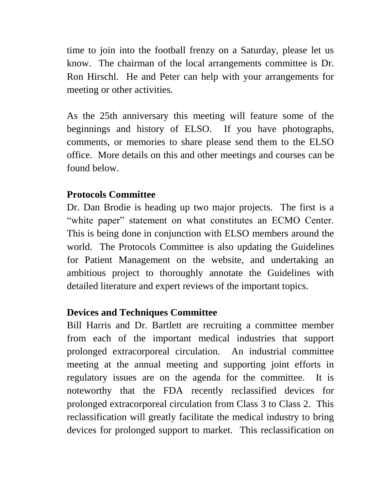time to join into the football frenzy on a Saturday, please let us know. The chairman of the local arrangements committee is Dr. Ron Hirschl. He and Peter can help with your arrangements for meeting or other activities.

As the 25th anniversary this meeting will feature some of the beginnings and history of ELSO. If you have photographs, comments, or memories to share please send them to the ELSO office. More details on this and other meetings and courses can be found below.

#### **Protocols Committee**

Dr. Dan Brodie is heading up two major projects. The first is a "white paper" statement on what constitutes an ECMO Center. This is being done in conjunction with ELSO members around the world. The Protocols Committee is also updating the Guidelines for Patient Management on the website, and undertaking an ambitious project to thoroughly annotate the Guidelines with detailed literature and expert reviews of the important topics.

#### **Devices and Techniques Committee**

Bill Harris and Dr. Bartlett are recruiting a committee member from each of the important medical industries that support prolonged extracorporeal circulation. An industrial committee meeting at the annual meeting and supporting joint efforts in regulatory issues are on the agenda for the committee. It is noteworthy that the FDA recently reclassified devices for prolonged extracorporeal circulation from Class 3 to Class 2. This reclassification will greatly facilitate the medical industry to bring devices for prolonged support to market. This reclassification on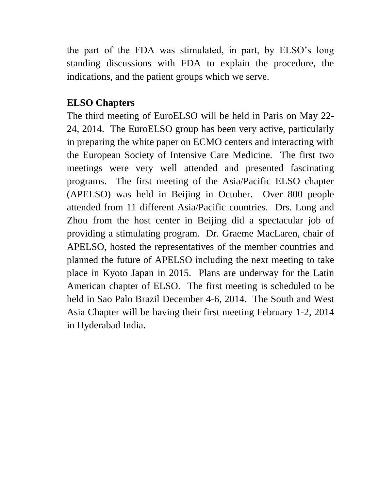the part of the FDA was stimulated, in part, by ELSO's long standing discussions with FDA to explain the procedure, the indications, and the patient groups which we serve.

#### **ELSO Chapters**

The third meeting of EuroELSO will be held in Paris on May 22- 24, 2014. The EuroELSO group has been very active, particularly in preparing the white paper on ECMO centers and interacting with the European Society of Intensive Care Medicine. The first two meetings were very well attended and presented fascinating programs. The first meeting of the Asia/Pacific ELSO chapter (APELSO) was held in Beijing in October. Over 800 people attended from 11 different Asia/Pacific countries. Drs. Long and Zhou from the host center in Beijing did a spectacular job of providing a stimulating program. Dr. Graeme MacLaren, chair of APELSO, hosted the representatives of the member countries and planned the future of APELSO including the next meeting to take place in Kyoto Japan in 2015. Plans are underway for the Latin American chapter of ELSO. The first meeting is scheduled to be held in Sao Palo Brazil December 4-6, 2014. The South and West Asia Chapter will be having their first meeting February 1-2, 2014 in Hyderabad India.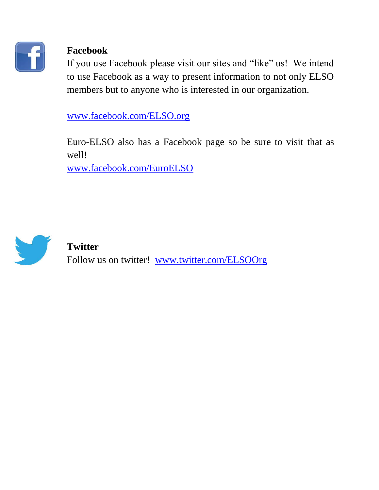

### **Facebook**

If you use Facebook please visit our sites and "like" us! We intend to use Facebook as a way to present information to not only ELSO members but to anyone who is interested in our organization.

[www.facebook.com/ELSO.org](http://www.facebook.com/ELSO.org)

Euro-ELSO also has a Facebook page so be sure to visit that as well!

[www.facebook.com/EuroELSO](https://www.facebook.com/EuroELSO)



#### **Twitter**

Follow us on twitter! [www.twitter.com/ELSOOrg](http://www.twitter.com/ELSOOrg)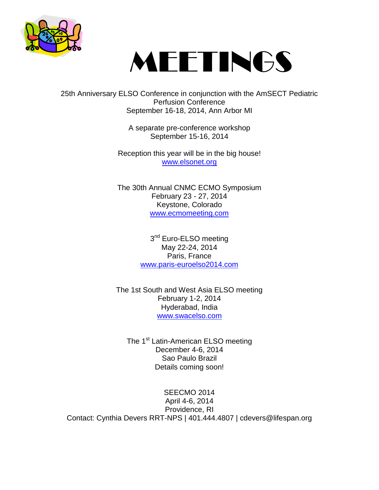



25th Anniversary ELSO Conference in conjunction with the AmSECT Pediatric Perfusion Conference September 16-18, 2014, Ann Arbor MI

> A separate pre-conference workshop September 15-16, 2014

Reception this year will be in the big house! [www.elsonet.org](http://www.cvent.com/d/1cqkr1)

The 30th Annual CNMC ECMO Symposium February 23 - 27, 2014 Keystone, Colorado [www.ecmomeeting.com](http://www.ecmomeeting.com/)

> 3<sup>nd</sup> Euro-ELSO meeting May 22-24, 2014 Paris, France [www.paris-euroelso2014.com](http://www.paris-euroelso2014.com/)

The 1st South and West Asia ELSO meeting February 1-2, 2014 Hyderabad, India [www.swacelso.com](http://www.swacelso.com/)

The 1<sup>st</sup> Latin-American ELSO meeting December 4-6, 2014 Sao Paulo Brazil Details coming soon!

SEECMO 2014 April 4-6, 2014 Providence, RI Contact: Cynthia Devers RRT-NPS | 401.444.4807 | cdevers@lifespan.org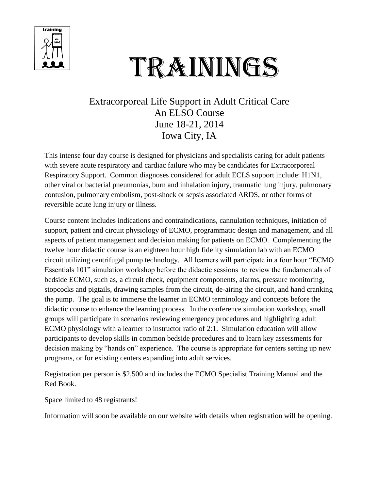

# TRAININGS

#### Extracorporeal Life Support in Adult Critical Care An ELSO Course June 18-21, 2014 Iowa City, IA

This intense four day course is designed for physicians and specialists caring for adult patients with severe acute respiratory and cardiac failure who may be candidates for Extracorporeal Respiratory Support. Common diagnoses considered for adult ECLS support include: H1N1, other viral or bacterial pneumonias, burn and inhalation injury, traumatic lung injury, pulmonary contusion, pulmonary embolism, post-shock or sepsis associated ARDS, or other forms of reversible acute lung injury or illness.

Course content includes indications and contraindications, cannulation techniques, initiation of support, patient and circuit physiology of ECMO, programmatic design and management, and all aspects of patient management and decision making for patients on ECMO. Complementing the twelve hour didactic course is an eighteen hour high fidelity simulation lab with an ECMO circuit utilizing centrifugal pump technology. All learners will participate in a four hour "ECMO Essentials 101" simulation workshop before the didactic sessions to review the fundamentals of bedside ECMO, such as, a circuit check, equipment components, alarms, pressure monitoring, stopcocks and pigtails, drawing samples from the circuit, de-airing the circuit, and hand cranking the pump. The goal is to immerse the learner in ECMO terminology and concepts before the didactic course to enhance the learning process. In the conference simulation workshop, small groups will participate in scenarios reviewing emergency procedures and highlighting adult ECMO physiology with a learner to instructor ratio of 2:1. Simulation education will allow participants to develop skills in common bedside procedures and to learn key assessments for decision making by "hands on" experience. The course is appropriate for centers setting up new programs, or for existing centers expanding into adult services.

Registration per person is \$2,500 and includes the ECMO Specialist Training Manual and the Red Book.

Space limited to 48 registrants!

Information will soon be available on our website with details when registration will be opening.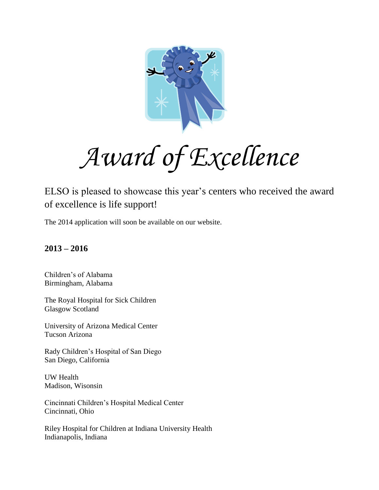

*Award of Excellence*

ELSO is pleased to showcase this year's centers who received the award of excellence is life support!

The 2014 application will soon be available on our website.

#### **2013 – 2016**

Children's of Alabama Birmingham, Alabama

The Royal Hospital for Sick Children Glasgow Scotland

University of Arizona Medical Center Tucson Arizona

Rady Children's Hospital of San Diego San Diego, California

UW Health Madison, Wisonsin

Cincinnati Children's Hospital Medical Center Cincinnati, Ohio

Riley Hospital for Children at Indiana University Health Indianapolis, Indiana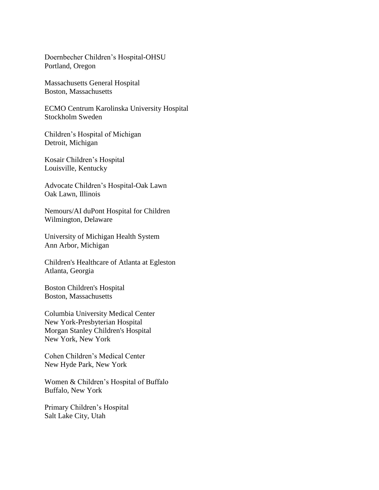Doernbecher Children's Hospital-OHSU Portland, Oregon

Massachusetts General Hospital Boston, Massachusetts

ECMO Centrum Karolinska University Hospital Stockholm Sweden

Children's Hospital of Michigan Detroit, Michigan

Kosair Children's Hospital Louisville, Kentucky

Advocate Children's Hospital-Oak Lawn Oak Lawn, Illinois

Nemours/AI duPont Hospital for Children Wilmington, Delaware

University of Michigan Health System Ann Arbor, Michigan

Children's Healthcare of Atlanta at Egleston Atlanta, Georgia

Boston Children's Hospital Boston, Massachusetts

Columbia University Medical Center New York-Presbyterian Hospital Morgan Stanley Children's Hospital New York, New York

Cohen Children's Medical Center New Hyde Park, New York

Women & Children's Hospital of Buffalo Buffalo, New York

Primary Children's Hospital Salt Lake City, Utah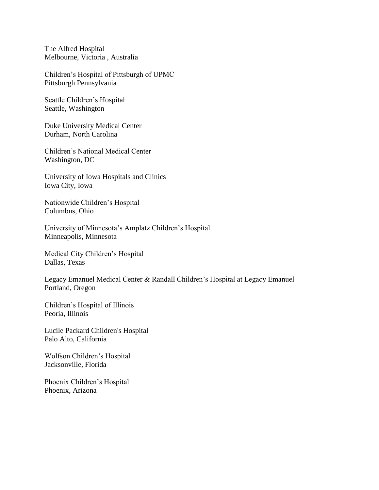The Alfred Hospital Melbourne, Victoria , Australia

Children's Hospital of Pittsburgh of UPMC Pittsburgh Pennsylvania

Seattle Children's Hospital Seattle, Washington

Duke University Medical Center Durham, North Carolina

Children's National Medical Center Washington, DC

University of Iowa Hospitals and Clinics Iowa City, Iowa

Nationwide Children's Hospital Columbus, Ohio

University of Minnesota's Amplatz Children's Hospital Minneapolis, Minnesota

Medical City Children's Hospital Dallas, Texas

Legacy Emanuel Medical Center & Randall Children's Hospital at Legacy Emanuel Portland, Oregon

Children's Hospital of Illinois Peoria, Illinois

Lucile Packard Children's Hospital Palo Alto, California

Wolfson Children's Hospital Jacksonville, Florida

Phoenix Children's Hospital Phoenix, Arizona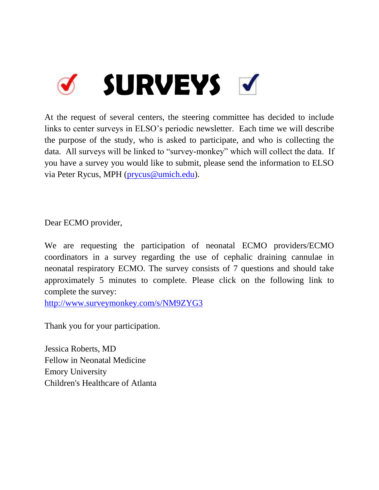

At the request of several centers, the steering committee has decided to include links to center surveys in ELSO's periodic newsletter. Each time we will describe the purpose of the study, who is asked to participate, and who is collecting the data. All surveys will be linked to "survey-monkey" which will collect the data. If you have a survey you would like to submit, please send the information to ELSO via Peter Rycus, MPH [\(prycus@umich.edu\)](mailto:prycus@umich.edu).

Dear ECMO provider,

We are requesting the participation of neonatal ECMO providers/ECMO coordinators in a survey regarding the use of cephalic draining cannulae in neonatal respiratory ECMO. The survey consists of 7 questions and should take approximately 5 minutes to complete. Please click on the following link to complete the survey:

<http://www.surveymonkey.com/s/NM9ZYG3>

Thank you for your participation.

Jessica Roberts, MD Fellow in Neonatal Medicine Emory University Children's Healthcare of Atlanta